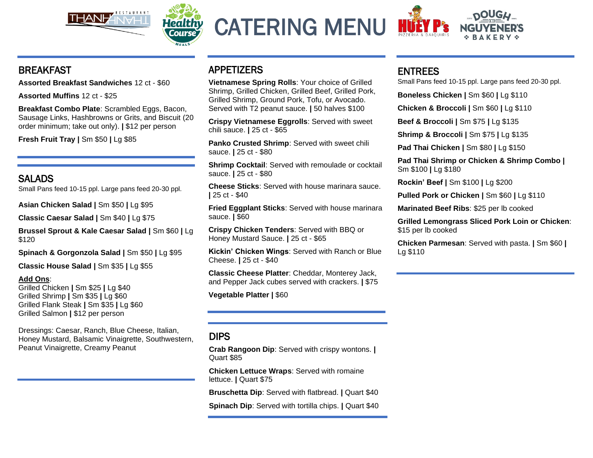



CATERING MENU



## BREAKFAST

**Assorted Breakfast Sandwiches** 12 ct - \$60

**Assorted Muffins** 12 ct - \$25

**Breakfast Combo Plate**: Scrambled Eggs, Bacon, Sausage Links, Hashbrowns or Grits, and Biscuit (20 order minimum; take out only). **|** \$12 per person

**Fresh Fruit Tray |** Sm \$50 **|** Lg \$85

## SALADS

Small Pans feed 10-15 ppl. Large pans feed 20-30 ppl.

**Asian Chicken Salad |** Sm \$50 **|** Lg \$95

**Classic Caesar Salad |** Sm \$40 **|** Lg \$75

**Brussel Sprout & Kale Caesar Salad |** Sm \$60 **|** Lg \$120

**Spinach & Gorgonzola Salad |** Sm \$50 **|** Lg \$95

**Classic House Salad |** Sm \$35 **|** Lg \$55

#### **Add Ons**:

Grilled Chicken **|** Sm \$25 **|** Lg \$40 Grilled Shrimp **|** Sm \$35 **|** Lg \$60 Grilled Flank Steak **|** Sm \$35 **|** Lg \$60 Grilled Salmon **|** \$12 per person

Dressings: Caesar, Ranch, Blue Cheese, Italian, Honey Mustard, Balsamic Vinaigrette, Southwestern, Peanut Vinaigrette, Creamy Peanut

# APPETIZERS

**Vietnamese Spring Rolls**: Your choice of Grilled Shrimp, Grilled Chicken, Grilled Beef, Grilled Pork, Grilled Shrimp, Ground Pork, Tofu, or Avocado. Served with T2 peanut sauce. **|** 50 halves \$100

**Crispy Vietnamese Eggrolls**: Served with sweet chili sauce. **|** 25 ct - \$65

**Panko Crusted Shrimp**: Served with sweet chili sauce. **|** 25 ct - \$80

**Shrimp Cocktail**: Served with remoulade or cocktail sauce. **|** 25 ct - \$80

**Cheese Sticks**: Served with house marinara sauce. **|** 25 ct - \$40

**Fried Eggplant Sticks**: Served with house marinara sauce. **|** \$60

**Crispy Chicken Tenders**: Served with BBQ or Honey Mustard Sauce. **|** 25 ct - \$65

**Kickin' Chicken Wings**: Served with Ranch or Blue Cheese. **|** 25 ct - \$40

**Classic Cheese Platter**: Cheddar, Monterey Jack, and Pepper Jack cubes served with crackers. **|** \$75

**Vegetable Platter |** \$60

# DIPS

**Crab Rangoon Dip**: Served with crispy wontons. **|** Quart \$85

**Chicken Lettuce Wraps**: Served with romaine lettuce. **|** Quart \$75

**Bruschetta Dip**: Served with flatbread. **|** Quart \$40

**Spinach Dip**: Served with tortilla chips. **|** Quart \$40

## ENTREES

Small Pans feed 10-15 ppl. Large pans feed 20-30 ppl.

**Boneless Chicken |** Sm \$60 **|** Lg \$110

**Chicken & Broccoli |** Sm \$60 **|** Lg \$110

**Beef & Broccoli |** Sm \$75 **|** Lg \$135

**Shrimp & Broccoli |** Sm \$75 **|** Lg \$135

**Pad Thai Chicken |** Sm \$80 **|** Lg \$150

**Pad Thai Shrimp or Chicken & Shrimp Combo |**  Sm \$100 **|** Lg \$180

**Rockin' Beef |** Sm \$100 **|** Lg \$200

**Pulled Pork or Chicken |** Sm \$60 **|** Lg \$110

**Marinated Beef Ribs**: \$25 per lb cooked

**Grilled Lemongrass Sliced Pork Loin or Chicken**: \$15 per lb cooked

**Chicken Parmesan**: Served with pasta. **|** Sm \$60 **|**  Lg \$110